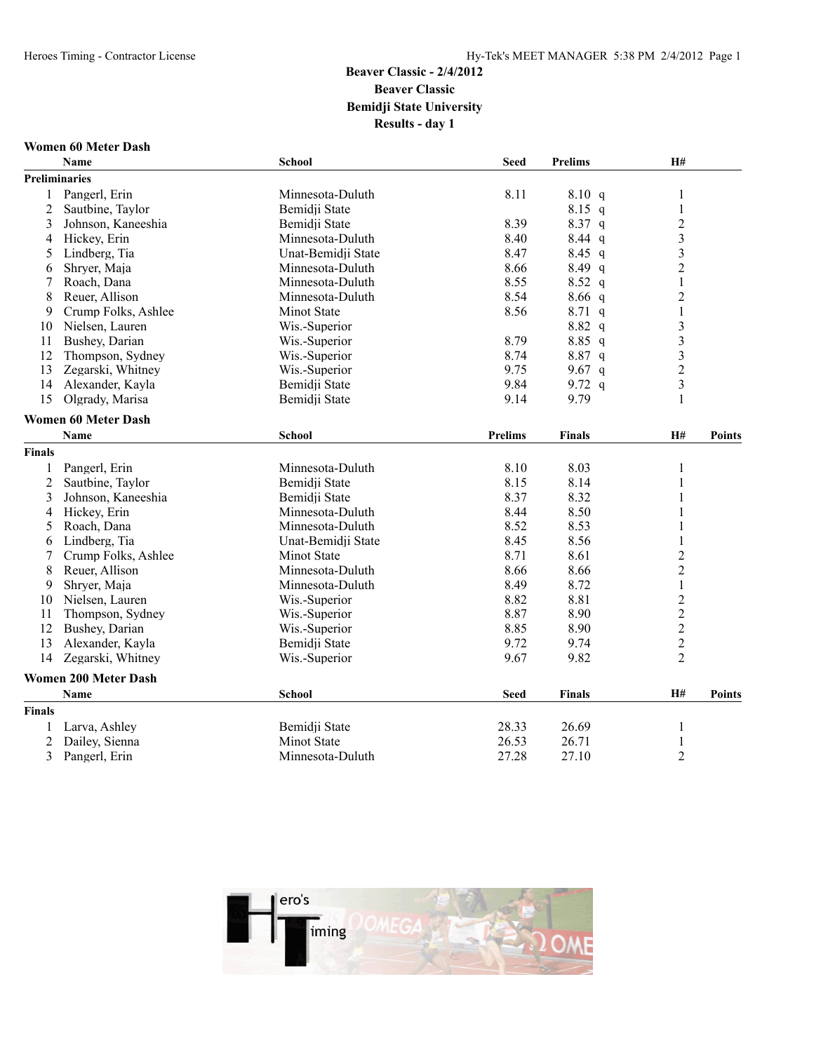#### **Women 60 Meter Dash**

|                | Name                        | School             | <b>Seed</b>    | <b>Prelims</b> | H#                      |               |
|----------------|-----------------------------|--------------------|----------------|----------------|-------------------------|---------------|
|                | <b>Preliminaries</b>        |                    |                |                |                         |               |
| 1              | Pangerl, Erin               | Minnesota-Duluth   | 8.11           | 8.10 q         | 1                       |               |
| $\overline{2}$ | Sautbine, Taylor            | Bemidji State      |                | $8.15$ q       | $\,1$                   |               |
| 3              | Johnson, Kaneeshia          | Bemidji State      | 8.39           | 8.37 q         | $\overline{c}$          |               |
| 4              | Hickey, Erin                | Minnesota-Duluth   | 8.40           | $8.44$ q       | $\overline{\mathbf{3}}$ |               |
| 5              | Lindberg, Tia               | Unat-Bemidji State | 8.47           | $8.45$ q       | $\overline{\mathbf{3}}$ |               |
| 6              | Shryer, Maja                | Minnesota-Duluth   | 8.66           | 8.49 q         | $\overline{2}$          |               |
| 7              | Roach, Dana                 | Minnesota-Duluth   | 8.55           | $8.52$ q       | $\mathbf{1}$            |               |
| 8              | Reuer, Allison              | Minnesota-Duluth   | 8.54           | $8.66$ q       | $\overline{c}$          |               |
| 9              | Crump Folks, Ashlee         | <b>Minot State</b> | 8.56           | $8.71$ q       | $\mathbf{1}$            |               |
| 10             | Nielsen, Lauren             | Wis.-Superior      |                | 8.82 q         | 3                       |               |
| 11             | Bushey, Darian              | Wis.-Superior      | 8.79           | $8.85$ q       | 3                       |               |
| 12             | Thompson, Sydney            | Wis.-Superior      | 8.74           | 8.87 q         | $\overline{\mathbf{3}}$ |               |
| 13             | Zegarski, Whitney           | Wis.-Superior      | 9.75           | 9.67 $q$       | $\overline{2}$          |               |
| 14             | Alexander, Kayla            | Bemidii State      | 9.84           | 9.72 $q$       | $\overline{\mathbf{3}}$ |               |
| 15             | Olgrady, Marisa             | Bemidji State      | 9.14           | 9.79           | $\mathbf{1}$            |               |
|                | <b>Women 60 Meter Dash</b>  |                    |                |                |                         |               |
|                | Name                        | <b>School</b>      | <b>Prelims</b> | <b>Finals</b>  | H#                      | <b>Points</b> |
| <b>Finals</b>  |                             |                    |                |                |                         |               |
| 1              | Pangerl, Erin               | Minnesota-Duluth   | 8.10           | 8.03           | 1                       |               |
| $\overline{c}$ | Sautbine, Taylor            | Bemidii State      | 8.15           | 8.14           | 1                       |               |
| 3              | Johnson, Kaneeshia          | Bemidji State      | 8.37           | 8.32           | $\,1$                   |               |
| 4              | Hickey, Erin                | Minnesota-Duluth   | 8.44           | 8.50           | $\mathbf{1}$            |               |
| 5              | Roach, Dana                 | Minnesota-Duluth   | 8.52           | 8.53           | $\mathbf{1}$            |               |
| 6              | Lindberg, Tia               | Unat-Bemidji State | 8.45           | 8.56           | $\mathbf{1}$            |               |
| 7              | Crump Folks, Ashlee         | Minot State        | 8.71           | 8.61           | $\overline{c}$          |               |
| 8              | Reuer, Allison              | Minnesota-Duluth   | 8.66           | 8.66           | $\overline{2}$          |               |
| 9              | Shryer, Maja                | Minnesota-Duluth   | 8.49           | 8.72           | $\mathbf 1$             |               |
| 10             | Nielsen, Lauren             | Wis.-Superior      | 8.82           | 8.81           | $\overline{c}$          |               |
| 11             | Thompson, Sydney            | Wis.-Superior      | 8.87           | 8.90           | $\overline{c}$          |               |
| 12             | Bushey, Darian              | Wis.-Superior      | 8.85           | 8.90           | $\overline{c}$          |               |
| 13             | Alexander, Kayla            | Bemidji State      | 9.72           | 9.74           | $\overline{2}$          |               |
| 14             | Zegarski, Whitney           | Wis.-Superior      | 9.67           | 9.82           | $\overline{2}$          |               |
|                | <b>Women 200 Meter Dash</b> |                    |                |                |                         |               |
|                | Name                        | School             | <b>Seed</b>    | <b>Finals</b>  | H#                      | <b>Points</b> |
| <b>Finals</b>  |                             |                    |                |                |                         |               |
| 1              | Larva, Ashley               | Bemidji State      | 28.33          | 26.69          | 1                       |               |
| $\overline{2}$ | Dailey, Sienna              | Minot State        | 26.53          | 26.71          | $\mathbf{1}$            |               |
| 3              | Pangerl, Erin               | Minnesota-Duluth   | 27.28          | 27.10          | $\overline{2}$          |               |

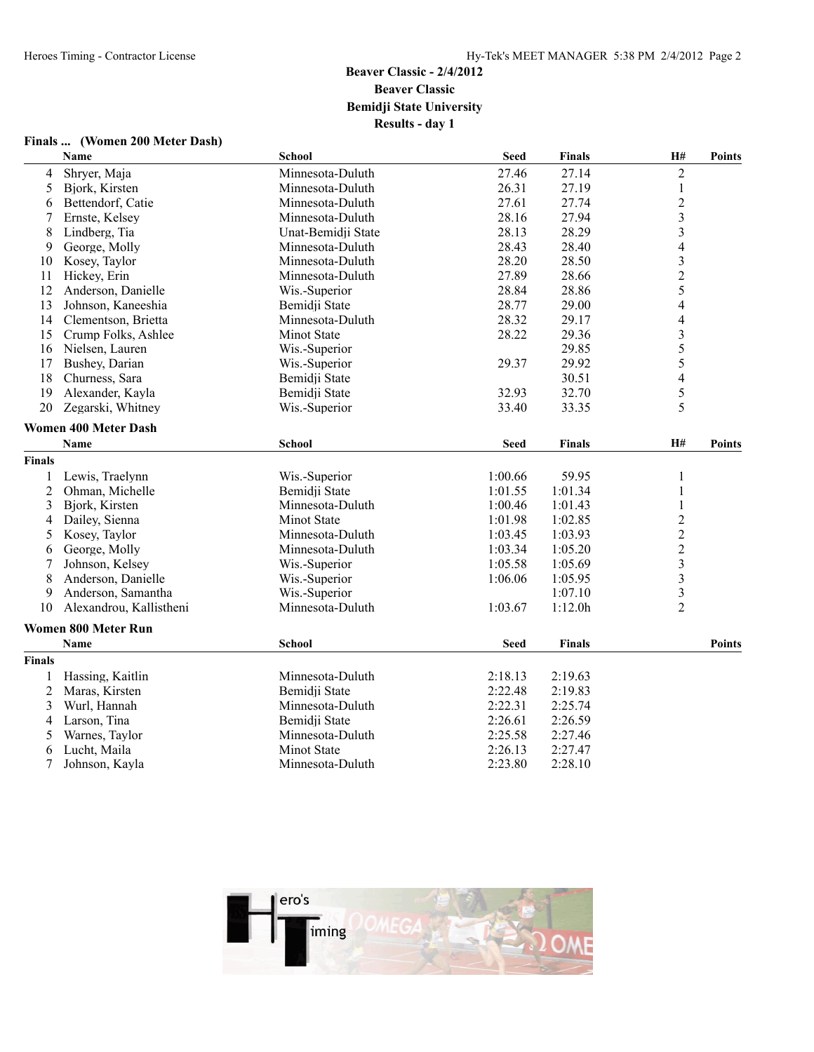|        | Finals  (Women 200 Meter Dash) |                    |             |               |                          |               |
|--------|--------------------------------|--------------------|-------------|---------------|--------------------------|---------------|
|        | Name                           | School             | <b>Seed</b> | <b>Finals</b> | <b>H#</b>                | <b>Points</b> |
| 4      | Shryer, Maja                   | Minnesota-Duluth   | 27.46       | 27.14         | $\sqrt{2}$               |               |
| 5      | Bjork, Kirsten                 | Minnesota-Duluth   | 26.31       | 27.19         | $\mathbf{1}$             |               |
| 6      | Bettendorf, Catie              | Minnesota-Duluth   | 27.61       | 27.74         | $\overline{c}$           |               |
| 7      | Ernste, Kelsey                 | Minnesota-Duluth   | 28.16       | 27.94         | $\overline{\mathbf{3}}$  |               |
| 8      | Lindberg, Tia                  | Unat-Bemidji State | 28.13       | 28.29         | $\overline{\mathbf{3}}$  |               |
| 9      | George, Molly                  | Minnesota-Duluth   | 28.43       | 28.40         | $\overline{4}$           |               |
| 10     | Kosey, Taylor                  | Minnesota-Duluth   | 28.20       | 28.50         | 3                        |               |
| 11     | Hickey, Erin                   | Minnesota-Duluth   | 27.89       | 28.66         | $\overline{c}$           |               |
| 12     | Anderson, Danielle             | Wis.-Superior      | 28.84       | 28.86         | 5                        |               |
| 13     | Johnson, Kaneeshia             | Bemidji State      | 28.77       | 29.00         | $\overline{4}$           |               |
| 14     | Clementson, Brietta            | Minnesota-Duluth   | 28.32       | 29.17         | $\overline{4}$           |               |
| 15     | Crump Folks, Ashlee            | Minot State        | 28.22       | 29.36         | $\overline{\mathbf{3}}$  |               |
| 16     | Nielsen, Lauren                | Wis.-Superior      |             | 29.85         | 5                        |               |
| 17     | Bushey, Darian                 | Wis.-Superior      | 29.37       | 29.92         | 5                        |               |
| 18     | Churness, Sara                 | Bemidji State      |             | 30.51         | $\overline{\mathcal{L}}$ |               |
| 19     | Alexander, Kayla               | Bemidji State      | 32.93       | 32.70         | 5                        |               |
| 20     | Zegarski, Whitney              | Wis.-Superior      | 33.40       | 33.35         | 5                        |               |
|        | <b>Women 400 Meter Dash</b>    |                    |             |               |                          |               |
|        | <b>Name</b>                    | School             | <b>Seed</b> | <b>Finals</b> | H#                       | <b>Points</b> |
| Finals |                                |                    |             |               |                          |               |
| 1      | Lewis, Traelynn                | Wis.-Superior      | 1:00.66     | 59.95         | $\mathbf{1}$             |               |
| 2      | Ohman, Michelle                | Bemidji State      | 1:01.55     | 1:01.34       | $\mathbf{1}$             |               |
| 3      | Bjork, Kirsten                 | Minnesota-Duluth   | 1:00.46     | 1:01.43       | $\mathbf{1}$             |               |
| 4      | Dailey, Sienna                 | <b>Minot State</b> | 1:01.98     | 1:02.85       | $\overline{2}$           |               |
| 5      | Kosey, Taylor                  | Minnesota-Duluth   | 1:03.45     | 1:03.93       | $\overline{c}$           |               |
| 6      | George, Molly                  | Minnesota-Duluth   | 1:03.34     | 1:05.20       | $\overline{c}$           |               |
| 7      | Johnson, Kelsey                | Wis.-Superior      | 1:05.58     | 1:05.69       | $\overline{\mathbf{3}}$  |               |
| 8      | Anderson, Danielle             | Wis.-Superior      | 1:06.06     | 1:05.95       | $\mathfrak{Z}$           |               |
| 9      | Anderson, Samantha             | Wis.-Superior      |             | 1:07.10       | $\overline{\mathbf{3}}$  |               |
| 10     | Alexandrou, Kallistheni        | Minnesota-Duluth   | 1:03.67     | 1:12.0h       | $\overline{2}$           |               |
|        | <b>Women 800 Meter Run</b>     |                    |             |               |                          |               |
|        | <b>Name</b>                    | School             | <b>Seed</b> | <b>Finals</b> |                          | <b>Points</b> |
| Finals |                                |                    |             |               |                          |               |
| 1      | Hassing, Kaitlin               | Minnesota-Duluth   | 2:18.13     | 2:19.63       |                          |               |
| 2      | Maras, Kirsten                 | Bemidji State      | 2:22.48     | 2:19.83       |                          |               |
| 3      | Wurl, Hannah                   | Minnesota-Duluth   | 2:22.31     | 2:25.74       |                          |               |
| 4      | Larson, Tina                   | Bemidji State      | 2:26.61     | 2:26.59       |                          |               |
| 5      | Warnes, Taylor                 | Minnesota-Duluth   | 2:25.58     | 2:27.46       |                          |               |
| 6      | Lucht, Maila                   | <b>Minot State</b> | 2:26.13     | 2:27.47       |                          |               |



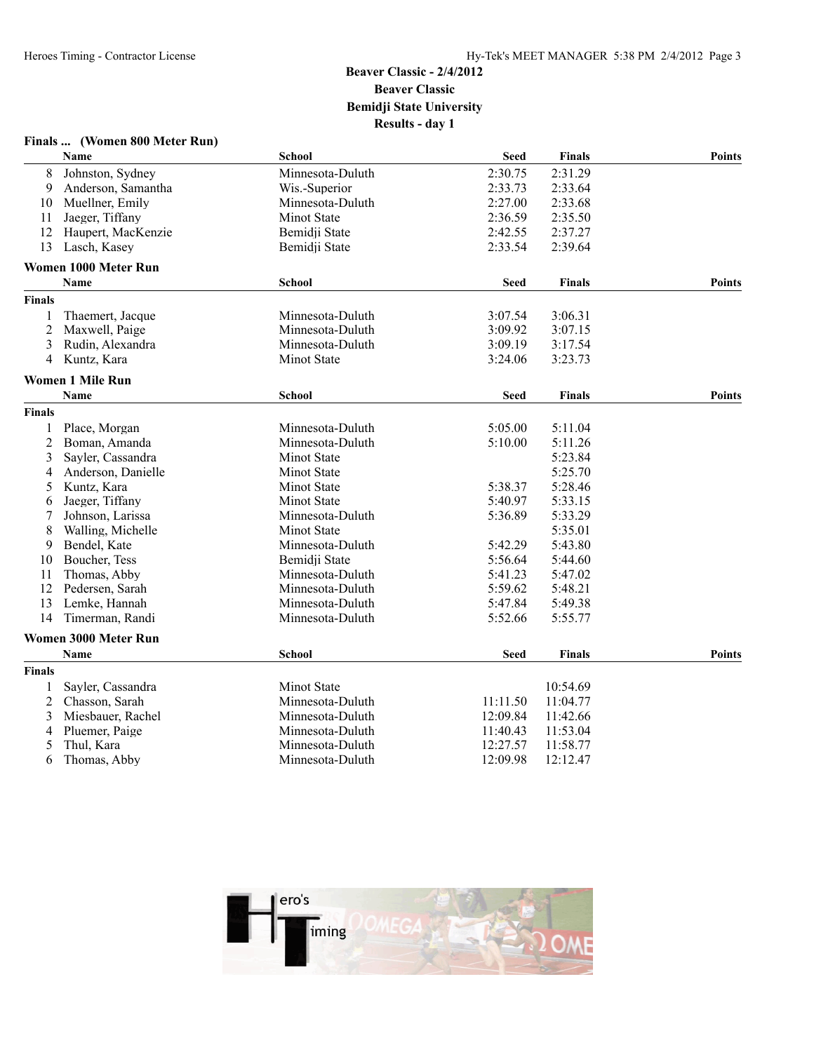#### **Finals ... (Women 800 Meter Run)**

|                | <b>Name</b>                 | School             | <b>Seed</b> | <b>Finals</b> | <b>Points</b> |
|----------------|-----------------------------|--------------------|-------------|---------------|---------------|
| 8              | Johnston, Sydney            | Minnesota-Duluth   | 2:30.75     | 2:31.29       |               |
| 9              | Anderson, Samantha          | Wis.-Superior      | 2:33.73     | 2:33.64       |               |
| 10             | Muellner, Emily             | Minnesota-Duluth   | 2:27.00     | 2:33.68       |               |
| 11             | Jaeger, Tiffany             | Minot State        | 2:36.59     | 2:35.50       |               |
| 12             | Haupert, MacKenzie          | Bemidji State      | 2:42.55     | 2:37.27       |               |
| 13             | Lasch, Kasey                | Bemidji State      | 2:33.54     | 2:39.64       |               |
|                | Women 1000 Meter Run        |                    |             |               |               |
|                | Name                        | <b>School</b>      | <b>Seed</b> | <b>Finals</b> | <b>Points</b> |
| <b>Finals</b>  |                             |                    |             |               |               |
|                | Thaemert, Jacque            | Minnesota-Duluth   | 3:07.54     | 3:06.31       |               |
| 2              | Maxwell, Paige              | Minnesota-Duluth   | 3:09.92     | 3:07.15       |               |
| 3              | Rudin, Alexandra            | Minnesota-Duluth   | 3:09.19     | 3:17.54       |               |
| 4              | Kuntz, Kara                 | Minot State        | 3:24.06     | 3:23.73       |               |
|                | <b>Women 1 Mile Run</b>     |                    |             |               |               |
|                | Name                        | <b>School</b>      | <b>Seed</b> | <b>Finals</b> | <b>Points</b> |
| <b>Finals</b>  |                             |                    |             |               |               |
| 1              | Place, Morgan               | Minnesota-Duluth   | 5:05.00     | 5:11.04       |               |
| $\overline{2}$ | Boman, Amanda               | Minnesota-Duluth   | 5:10.00     | 5:11.26       |               |
| 3              | Sayler, Cassandra           | <b>Minot State</b> |             | 5:23.84       |               |
| 4              | Anderson, Danielle          | <b>Minot State</b> |             | 5:25.70       |               |
| 5              | Kuntz, Kara                 | Minot State        | 5:38.37     | 5:28.46       |               |
| 6              | Jaeger, Tiffany             | <b>Minot State</b> | 5:40.97     | 5:33.15       |               |
|                | Johnson, Larissa            | Minnesota-Duluth   | 5:36.89     | 5:33.29       |               |
| 8              | Walling, Michelle           | <b>Minot State</b> |             | 5:35.01       |               |
| 9              | Bendel, Kate                | Minnesota-Duluth   | 5:42.29     | 5:43.80       |               |
| 10             | Boucher, Tess               | Bemidji State      | 5:56.64     | 5:44.60       |               |
| 11             | Thomas, Abby                | Minnesota-Duluth   | 5:41.23     | 5:47.02       |               |
| 12             | Pedersen, Sarah             | Minnesota-Duluth   | 5:59.62     | 5:48.21       |               |
| 13             | Lemke, Hannah               | Minnesota-Duluth   | 5:47.84     | 5:49.38       |               |
| 14             | Timerman, Randi             | Minnesota-Duluth   | 5:52.66     | 5:55.77       |               |
|                | <b>Women 3000 Meter Run</b> |                    |             |               |               |
|                | Name                        | <b>School</b>      | <b>Seed</b> | <b>Finals</b> | <b>Points</b> |
| <b>Finals</b>  |                             |                    |             |               |               |
|                | Sayler, Cassandra           | <b>Minot State</b> |             | 10:54.69      |               |
| 2              | Chasson, Sarah              | Minnesota-Duluth   | 11:11.50    | 11:04.77      |               |
| 3              | Miesbauer, Rachel           | Minnesota-Duluth   | 12:09.84    | 11:42.66      |               |
| 4              | Pluemer, Paige              | Minnesota-Duluth   | 11:40.43    | 11:53.04      |               |
| 5              | Thul, Kara                  | Minnesota-Duluth   | 12:27.57    | 11:58.77      |               |
| 6              | Thomas, Abby                | Minnesota-Duluth   | 12:09.98    | 12:12.47      |               |

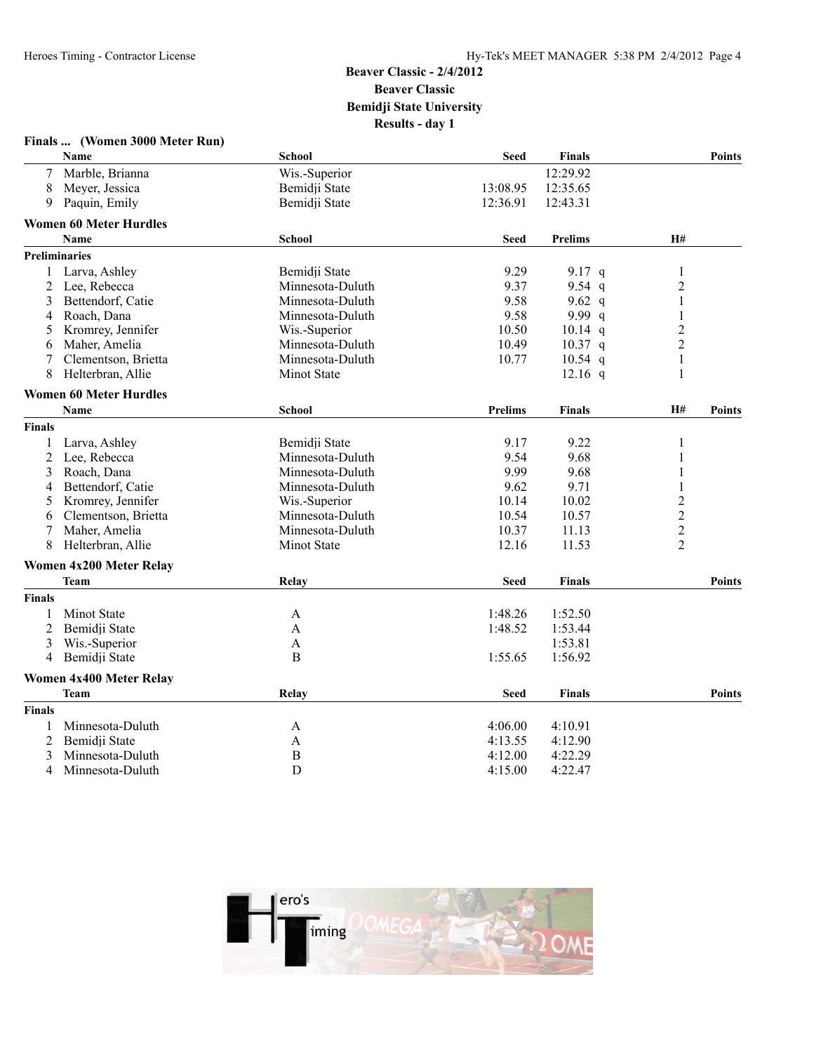| Finals | (Women 3000 Meter Run) |  |  |  |  |
|--------|------------------------|--|--|--|--|
|--------|------------------------|--|--|--|--|

|                | <b>Name</b>                    | <b>School</b>    | <b>Seed</b>    | <b>Finals</b>  |                | <b>Points</b> |
|----------------|--------------------------------|------------------|----------------|----------------|----------------|---------------|
| 7              | Marble, Brianna                | Wis.-Superior    |                | 12:29.92       |                |               |
| 8              | Meyer, Jessica                 | Bemidji State    | 13:08.95       | 12:35.65       |                |               |
| 9              | Paquin, Emily                  | Bemidji State    | 12:36.91       | 12:43.31       |                |               |
|                | <b>Women 60 Meter Hurdles</b>  |                  |                |                |                |               |
|                | <b>Name</b>                    | <b>School</b>    | <b>Seed</b>    | <b>Prelims</b> | H#             |               |
|                | <b>Preliminaries</b>           |                  |                |                |                |               |
| 1              | Larva, Ashley                  | Bemidji State    | 9.29           | 9.17 q         | 1              |               |
| 2              | Lee, Rebecca                   | Minnesota-Duluth | 9.37           | 9.54 $q$       | $\overline{2}$ |               |
| 3              | Bettendorf, Catie              | Minnesota-Duluth | 9.58           | 9.62 q         | $\,1$          |               |
| 4              | Roach, Dana                    | Minnesota-Duluth | 9.58           | 9.99 q         | 1              |               |
| 5              | Kromrey, Jennifer              | Wis.-Superior    | 10.50          | $10.14$ q      | $\overline{2}$ |               |
| 6              | Maher, Amelia                  | Minnesota-Duluth | 10.49          | $10.37$ q      | $\overline{2}$ |               |
| 7              | Clementson, Brietta            | Minnesota-Duluth | 10.77          | $10.54$ q      | $\mathbf{1}$   |               |
| 8              | Helterbran, Allie              | Minot State      |                | $12.16$ q      | 1              |               |
|                | <b>Women 60 Meter Hurdles</b>  |                  |                |                |                |               |
|                | <b>Name</b>                    | <b>School</b>    | <b>Prelims</b> | <b>Finals</b>  | H#             | <b>Points</b> |
| Finals         |                                |                  |                |                |                |               |
| 1              | Larva, Ashley                  | Bemidji State    | 9.17           | 9.22           | 1              |               |
| $\overline{c}$ | Lee, Rebecca                   | Minnesota-Duluth | 9.54           | 9.68           |                |               |
| 3              | Roach, Dana                    | Minnesota-Duluth | 9.99           | 9.68           | 1              |               |
| 4              | Bettendorf, Catie              | Minnesota-Duluth | 9.62           | 9.71           | $\mathbf{1}$   |               |
| 5              | Kromrey, Jennifer              | Wis.-Superior    | 10.14          | 10.02          | $\overline{c}$ |               |
| 6              | Clementson, Brietta            | Minnesota-Duluth | 10.54          | 10.57          | $\overline{c}$ |               |
|                | Maher, Amelia                  | Minnesota-Duluth | 10.37          | 11.13          | $\overline{c}$ |               |
| 8              | Helterbran, Allie              | Minot State      | 12.16          | 11.53          | $\overline{2}$ |               |
|                | <b>Women 4x200 Meter Relay</b> |                  |                |                |                |               |
|                | <b>Team</b>                    | Relay            | <b>Seed</b>    | <b>Finals</b>  |                | <b>Points</b> |
| <b>Finals</b>  |                                |                  |                |                |                |               |
| $\mathbf{1}$   | Minot State                    | A                | 1:48.26        | 1:52.50        |                |               |
| $\overline{2}$ | Bemidji State                  | A                | 1:48.52        | 1:53.44        |                |               |
| 3              | Wis.-Superior                  | A                |                | 1:53.81        |                |               |
| 4              | Bemidji State                  | B                | 1:55.65        | 1:56.92        |                |               |
|                | <b>Women 4x400 Meter Relay</b> |                  |                |                |                |               |
|                | <b>Team</b>                    | Relay            | <b>Seed</b>    | <b>Finals</b>  |                | <b>Points</b> |
| <b>Finals</b>  |                                |                  |                |                |                |               |
| 1              | Minnesota-Duluth               | A                | 4:06.00        | 4:10.91        |                |               |
| $\overline{2}$ | Bemidji State                  | A                | 4:13.55        | 4:12.90        |                |               |
| 3              | Minnesota-Duluth               | $\mathbf B$      | 4:12.00        | 4:22.29        |                |               |
| 4              | Minnesota-Duluth               | D                | 4:15.00        | 4:22.47        |                |               |
|                |                                |                  |                |                |                |               |

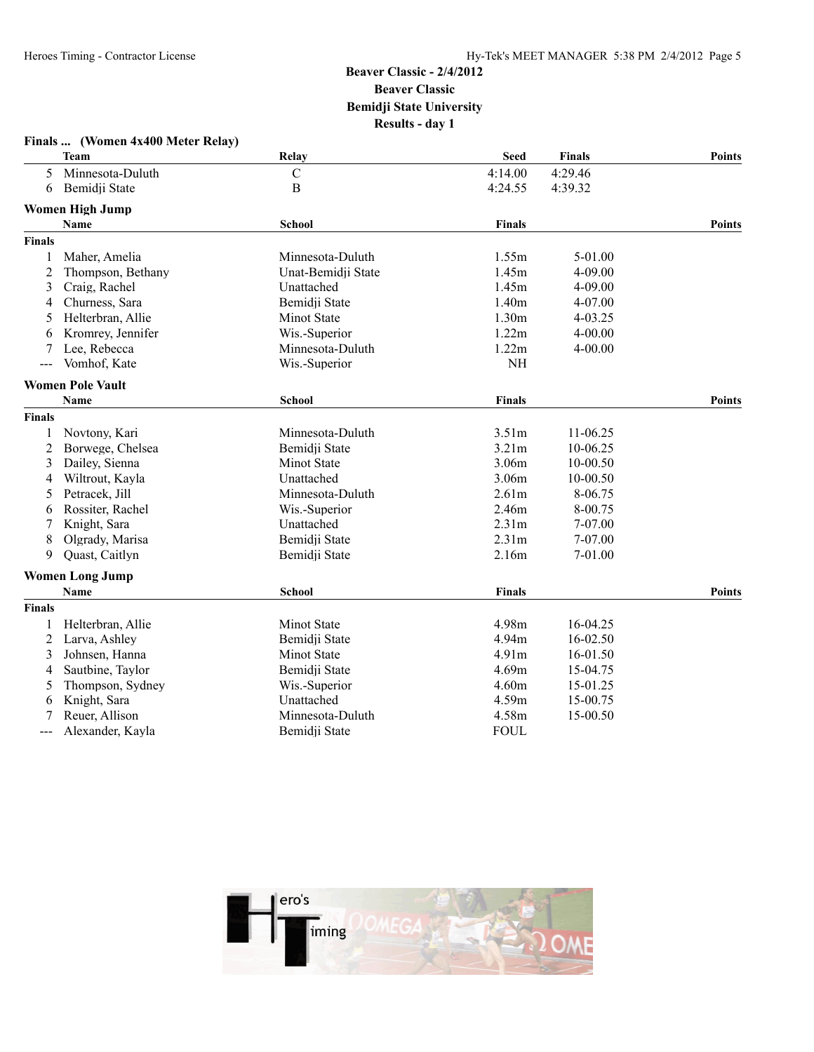|                | Finals  (Women 4x400 Meter Relay)  |                    |                   |               |               |
|----------------|------------------------------------|--------------------|-------------------|---------------|---------------|
|                | Team                               | Relay              | <b>Seed</b>       | <b>Finals</b> | <b>Points</b> |
| 5              | Minnesota-Duluth                   | $\mathbf C$        | 4:14.00           | 4:29.46       |               |
| 6              | Bemidji State                      | $\, {\bf B}$       | 4:24.55           | 4:39.32       |               |
|                | <b>Women High Jump</b>             |                    |                   |               |               |
|                | Name                               | <b>School</b>      | <b>Finals</b>     |               | <b>Points</b> |
| <b>Finals</b>  |                                    |                    |                   |               |               |
|                | Maher, Amelia                      | Minnesota-Duluth   | 1.55m             | 5-01.00       |               |
| 2              | Thompson, Bethany                  | Unat-Bemidji State | 1.45m             | $4 - 09.00$   |               |
| 3              | Craig, Rachel                      | Unattached         | 1.45m             | 4-09.00       |               |
| 4              | Churness, Sara                     | Bemidji State      | 1.40m             | 4-07.00       |               |
| 5              | Helterbran, Allie                  | Minot State        | 1.30m             | 4-03.25       |               |
| 6              | Kromrey, Jennifer                  | Wis.-Superior      | 1.22m             | 4-00.00       |               |
|                | Lee, Rebecca                       | Minnesota-Duluth   | 1.22m             | $4 - 00.00$   |               |
| $--$           | Vomhof, Kate                       | Wis.-Superior      | <b>NH</b>         |               |               |
|                | <b>Women Pole Vault</b>            |                    |                   |               |               |
|                | <b>Name</b>                        | <b>School</b>      | <b>Finals</b>     |               | <b>Points</b> |
| Finals         |                                    |                    |                   |               |               |
| 1              | Novtony, Kari                      | Minnesota-Duluth   | 3.51m             | 11-06.25      |               |
| $\overline{c}$ | Borwege, Chelsea                   | Bemidji State      | 3.21m             | 10-06.25      |               |
| 3              | Dailey, Sienna                     | Minot State        | 3.06m             | 10-00.50      |               |
| 4              | Wiltrout, Kayla                    | Unattached         | 3.06m             | 10-00.50      |               |
| 5              | Petracek, Jill                     | Minnesota-Duluth   | 2.61m             | 8-06.75       |               |
| 6              | Rossiter, Rachel                   | Wis.-Superior      | 2.46m             | 8-00.75       |               |
| 7              | Knight, Sara                       | Unattached         | 2.31m             | 7-07.00       |               |
| 8              | Olgrady, Marisa                    | Bemidji State      | 2.31 <sub>m</sub> | 7-07.00       |               |
| 9              | Quast, Caitlyn                     | Bemidji State      | 2.16m             | 7-01.00       |               |
|                | <b>Women Long Jump</b>             |                    |                   |               |               |
|                | Name                               | <b>School</b>      | <b>Finals</b>     |               | <b>Points</b> |
| <b>Finals</b>  |                                    |                    |                   |               |               |
| 1              |                                    | Minot State        | 4.98m             | 16-04.25      |               |
| 2              | Helterbran, Allie<br>Larva, Ashley | Bemidji State      | 4.94m             | 16-02.50      |               |
|                |                                    |                    | 4.91m             |               |               |
| 3              | Johnsen, Hanna                     | Minot State        | 4.69m             | 16-01.50      |               |
| 4              | Sautbine, Taylor                   | Bemidji State      |                   | 15-04.75      |               |
| 5              | Thompson, Sydney                   | Wis.-Superior      | 4.60m             | 15-01.25      |               |
| 6              | Knight, Sara                       | Unattached         | 4.59m             | 15-00.75      |               |
|                | Reuer, Allison                     | Minnesota-Duluth   | 4.58m             | 15-00.50      |               |
|                | Alexander, Kayla                   | Bemidji State      | <b>FOUL</b>       |               |               |

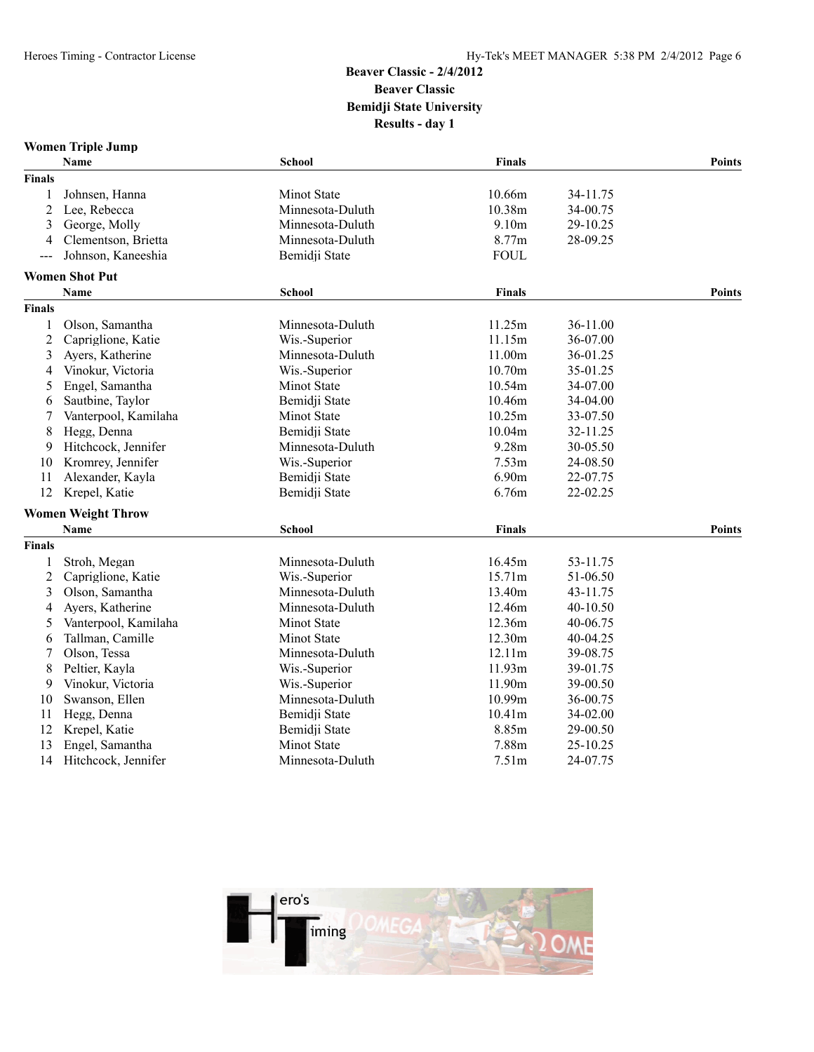# **Women Triple Jump**

|                | Name                      | School             | <b>Finals</b> |          | <b>Points</b> |
|----------------|---------------------------|--------------------|---------------|----------|---------------|
| <b>Finals</b>  |                           |                    |               |          |               |
| 1              | Johnsen, Hanna            | Minot State        | 10.66m        | 34-11.75 |               |
| $\overline{c}$ | Lee, Rebecca              | Minnesota-Duluth   | 10.38m        | 34-00.75 |               |
| 3              | George, Molly             | Minnesota-Duluth   | 9.10m         | 29-10.25 |               |
| 4              | Clementson, Brietta       | Minnesota-Duluth   | 8.77m         | 28-09.25 |               |
| $---$          | Johnson, Kaneeshia        | Bemidji State      | <b>FOUL</b>   |          |               |
|                | <b>Women Shot Put</b>     |                    |               |          |               |
|                | Name                      | School             | <b>Finals</b> |          | <b>Points</b> |
| <b>Finals</b>  |                           |                    |               |          |               |
| 1              | Olson, Samantha           | Minnesota-Duluth   | 11.25m        | 36-11.00 |               |
| 2              | Capriglione, Katie        | Wis.-Superior      | 11.15m        | 36-07.00 |               |
| 3              | Ayers, Katherine          | Minnesota-Duluth   | 11.00m        | 36-01.25 |               |
| 4              | Vinokur, Victoria         | Wis.-Superior      | 10.70m        | 35-01.25 |               |
| 5              | Engel, Samantha           | <b>Minot State</b> | 10.54m        | 34-07.00 |               |
| 6              | Sautbine, Taylor          | Bemidji State      | 10.46m        | 34-04.00 |               |
| 7              | Vanterpool, Kamilaha      | <b>Minot State</b> | 10.25m        | 33-07.50 |               |
| 8              | Hegg, Denna               | Bemidji State      | 10.04m        | 32-11.25 |               |
| 9              | Hitchcock, Jennifer       | Minnesota-Duluth   | 9.28m         | 30-05.50 |               |
| 10             | Kromrey, Jennifer         | Wis.-Superior      | 7.53m         | 24-08.50 |               |
| 11             | Alexander, Kayla          | Bemidji State      | 6.90m         | 22-07.75 |               |
| 12             | Krepel, Katie             | Bemidji State      | 6.76m         | 22-02.25 |               |
|                | <b>Women Weight Throw</b> |                    |               |          |               |
|                | Name                      | School             | <b>Finals</b> |          | <b>Points</b> |
| <b>Finals</b>  |                           |                    |               |          |               |
| 1              | Stroh, Megan              | Minnesota-Duluth   | 16.45m        | 53-11.75 |               |
| 2              | Capriglione, Katie        | Wis.-Superior      | 15.71m        | 51-06.50 |               |
| 3              | Olson, Samantha           | Minnesota-Duluth   | 13.40m        | 43-11.75 |               |
| 4              | Ayers, Katherine          | Minnesota-Duluth   | 12.46m        | 40-10.50 |               |
| 5              | Vanterpool, Kamilaha      | Minot State        | 12.36m        | 40-06.75 |               |
| 6              | Tallman, Camille          | Minot State        | 12.30m        | 40-04.25 |               |
| 7              | Olson, Tessa              | Minnesota-Duluth   | 12.11m        | 39-08.75 |               |
| 8              | Peltier, Kayla            | Wis.-Superior      | 11.93m        | 39-01.75 |               |
| 9              | Vinokur, Victoria         | Wis.-Superior      | 11.90m        | 39-00.50 |               |
| 10             | Swanson, Ellen            | Minnesota-Duluth   | 10.99m        | 36-00.75 |               |
| 11             | Hegg, Denna               | Bemidji State      | 10.41m        | 34-02.00 |               |
| 12             | Krepel, Katie             | Bemidji State      | 8.85m         | 29-00.50 |               |
| 13             | Engel, Samantha           | Minot State        | 7.88m         | 25-10.25 |               |
| 14             | Hitchcock, Jennifer       | Minnesota-Duluth   | 7.51m         | 24-07.75 |               |

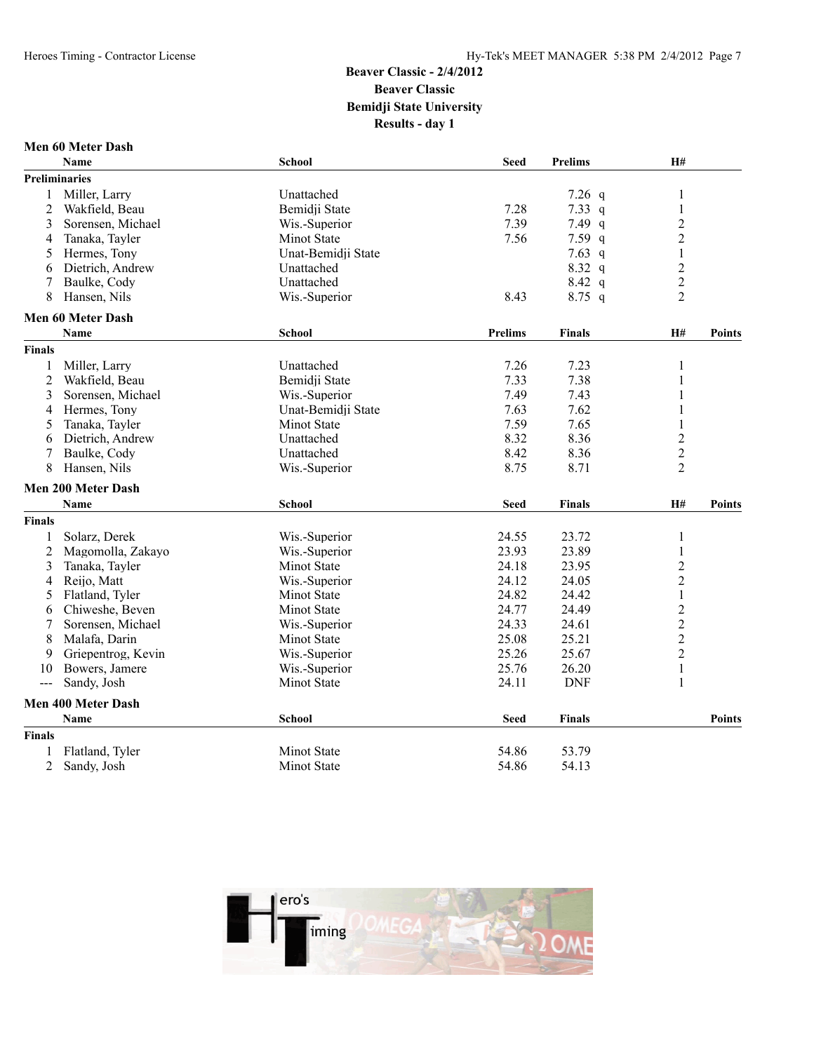#### **Men 60 Meter Dash**

|                | <b>Name</b>               | <b>School</b>      | <b>Seed</b>    | <b>Prelims</b> | H#                      |               |
|----------------|---------------------------|--------------------|----------------|----------------|-------------------------|---------------|
|                | Preliminaries             |                    |                |                |                         |               |
| 1              | Miller, Larry             | Unattached         |                | 7.26 $q$       | 1                       |               |
| $\overline{2}$ | Wakfield, Beau            | Bemidji State      | 7.28           | 7.33 $q$       | 1                       |               |
| 3              | Sorensen, Michael         | Wis.-Superior      | 7.39           | 7.49 $q$       | $\overline{c}$          |               |
| 4              | Tanaka, Tayler            | Minot State        | 7.56           | $7.59$ q       | $\overline{c}$          |               |
| 5              | Hermes, Tony              | Unat-Bemidji State |                | 7.63 $q$       | $\,1$                   |               |
| 6              | Dietrich, Andrew          | Unattached         |                | $8.32\ q$      | $\overline{\mathbf{c}}$ |               |
| 7              | Baulke, Cody              | Unattached         |                | 8.42 q         | $\overline{c}$          |               |
| 8              | Hansen, Nils              | Wis.-Superior      | 8.43           | $8.75$ q       | $\overline{2}$          |               |
|                | <b>Men 60 Meter Dash</b>  |                    |                |                |                         |               |
|                | <b>Name</b>               | <b>School</b>      | <b>Prelims</b> | <b>Finals</b>  | H#                      | <b>Points</b> |
| <b>Finals</b>  |                           |                    |                |                |                         |               |
| 1              | Miller, Larry             | Unattached         | 7.26           | 7.23           | 1                       |               |
| $\overline{c}$ | Wakfield, Beau            | Bemidji State      | 7.33           | 7.38           | 1                       |               |
| 3              | Sorensen, Michael         | Wis.-Superior      | 7.49           | 7.43           | 1                       |               |
| 4              | Hermes, Tony              | Unat-Bemidji State | 7.63           | 7.62           | 1                       |               |
| 5              | Tanaka, Tayler            | Minot State        | 7.59           | 7.65           | 1                       |               |
| 6              | Dietrich, Andrew          | Unattached         | 8.32           | 8.36           | $\overline{c}$          |               |
| 7              | Baulke, Cody              | Unattached         | 8.42           | 8.36           | $\overline{c}$          |               |
| 8              | Hansen, Nils              | Wis.-Superior      | 8.75           | 8.71           | $\overline{2}$          |               |
|                | Men 200 Meter Dash        |                    |                |                |                         |               |
|                | Name                      | <b>School</b>      | <b>Seed</b>    | <b>Finals</b>  | H#                      | <b>Points</b> |
| <b>Finals</b>  |                           |                    |                |                |                         |               |
| 1              | Solarz, Derek             | Wis.-Superior      | 24.55          | 23.72          | $\mathbf{1}$            |               |
| $\overline{c}$ | Magomolla, Zakayo         | Wis.-Superior      | 23.93          | 23.89          | $\mathbf{1}$            |               |
| 3              | Tanaka, Tayler            | <b>Minot State</b> | 24.18          | 23.95          | $\overline{c}$          |               |
| 4              | Reijo, Matt               | Wis.-Superior      | 24.12          | 24.05          | $\overline{c}$          |               |
| 5              | Flatland, Tyler           | Minot State        | 24.82          | 24.42          | $\mathbf{1}$            |               |
| 6              | Chiweshe, Beven           | Minot State        | 24.77          | 24.49          | $\overline{c}$          |               |
| 7              | Sorensen, Michael         | Wis.-Superior      | 24.33          | 24.61          | $\overline{c}$          |               |
| 8              | Malafa, Darin             | Minot State        | 25.08          | 25.21          | $\overline{c}$          |               |
| 9              | Griepentrog, Kevin        | Wis.-Superior      | 25.26          | 25.67          | $\overline{c}$          |               |
| 10             | Bowers, Jamere            | Wis.-Superior      | 25.76          | 26.20          | $\mathbf{1}$            |               |
| ---            | Sandy, Josh               | Minot State        | 24.11          | <b>DNF</b>     | $\mathbf{1}$            |               |
|                | <b>Men 400 Meter Dash</b> |                    |                |                |                         |               |
|                | <b>Name</b>               | <b>School</b>      | <b>Seed</b>    | <b>Finals</b>  |                         | <b>Points</b> |
| <b>Finals</b>  |                           |                    |                |                |                         |               |
| 1              | Flatland, Tyler           | <b>Minot State</b> | 54.86          | 53.79          |                         |               |
| $\overline{2}$ | Sandy, Josh               | <b>Minot State</b> | 54.86          | 54.13          |                         |               |

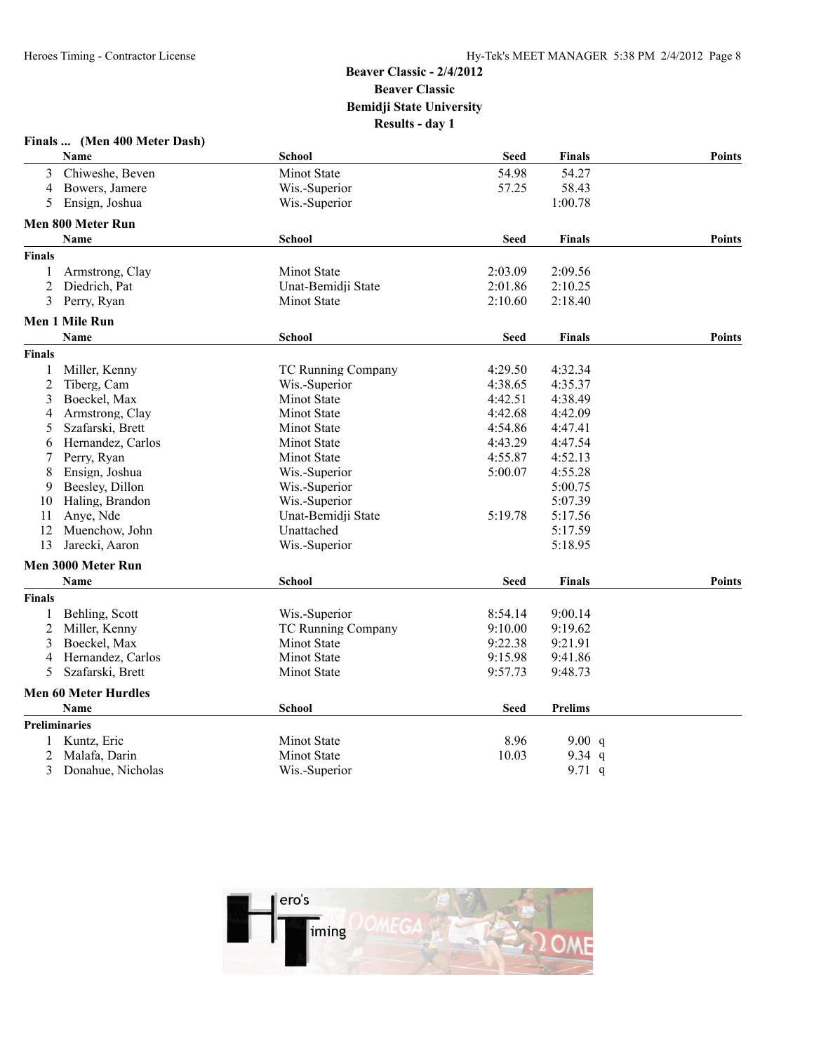|                | Finals  (Men 400 Meter Dash) |                           |             |                |               |
|----------------|------------------------------|---------------------------|-------------|----------------|---------------|
|                | Name                         | <b>School</b>             | <b>Seed</b> | <b>Finals</b>  | <b>Points</b> |
| 3              | Chiweshe, Beven              | <b>Minot State</b>        | 54.98       | 54.27          |               |
| 4              | Bowers, Jamere               | Wis.-Superior             | 57.25       | 58.43          |               |
| 5              | Ensign, Joshua               | Wis.-Superior             |             | 1:00.78        |               |
|                | Men 800 Meter Run            |                           |             |                |               |
|                | Name                         | <b>School</b>             | <b>Seed</b> | <b>Finals</b>  | <b>Points</b> |
| Finals         |                              |                           |             |                |               |
| 1              | Armstrong, Clay              | Minot State               | 2:03.09     | 2:09.56        |               |
| $\overline{2}$ | Diedrich. Pat                | Unat-Bemidji State        | 2:01.86     | 2:10.25        |               |
| 3              | Perry, Ryan                  | Minot State               | 2:10.60     | 2:18.40        |               |
|                | <b>Men 1 Mile Run</b>        |                           |             |                |               |
|                | <b>Name</b>                  | <b>School</b>             | <b>Seed</b> | <b>Finals</b>  | <b>Points</b> |
| Finals         |                              |                           |             |                |               |
| 1              | Miller, Kenny                | <b>TC Running Company</b> | 4:29.50     | 4:32.34        |               |
| $\overline{2}$ | Tiberg, Cam                  | Wis.-Superior             | 4:38.65     | 4:35.37        |               |
| 3              | Boeckel, Max                 | Minot State               | 4:42.51     | 4:38.49        |               |
| 4              | Armstrong, Clay              | <b>Minot State</b>        | 4:42.68     | 4:42.09        |               |
| 5              | Szafarski, Brett             | Minot State               | 4:54.86     | 4:47.41        |               |
| 6              | Hernandez, Carlos            | Minot State               | 4:43.29     | 4:47.54        |               |
| 7              | Perry, Ryan                  | Minot State               | 4:55.87     | 4:52.13        |               |
| 8              | Ensign, Joshua               | Wis.-Superior             | 5:00.07     | 4:55.28        |               |
| 9              | Beesley, Dillon              | Wis.-Superior             |             | 5:00.75        |               |
| 10             | Haling, Brandon              | Wis.-Superior             |             | 5:07.39        |               |
| 11             | Anye, Nde                    | Unat-Bemidji State        | 5:19.78     | 5:17.56        |               |
| 12             | Muenchow, John               | Unattached                |             | 5:17.59        |               |
| 13             | Jarecki, Aaron               | Wis.-Superior             |             | 5:18.95        |               |
|                | Men 3000 Meter Run           |                           |             |                |               |
|                | Name                         | <b>School</b>             | <b>Seed</b> | <b>Finals</b>  | <b>Points</b> |
| <b>Finals</b>  |                              |                           |             |                |               |
| 1              | Behling, Scott               | Wis.-Superior             | 8:54.14     | 9:00.14        |               |
| 2              | Miller, Kenny                | TC Running Company        | 9:10.00     | 9:19.62        |               |
| 3              | Boeckel, Max                 | <b>Minot State</b>        | 9:22.38     | 9:21.91        |               |
| 4              | Hernandez, Carlos            | Minot State               | 9:15.98     | 9:41.86        |               |
| 5              | Szafarski, Brett             | Minot State               | 9:57.73     | 9:48.73        |               |
|                | <b>Men 60 Meter Hurdles</b>  |                           |             |                |               |
|                | <b>Name</b>                  | <b>School</b>             | <b>Seed</b> | <b>Prelims</b> |               |
| Preliminaries  |                              |                           |             |                |               |
| $\mathbf{1}$   | Kuntz, Eric                  | Minot State               | 8.96        | 9.00 $q$       |               |
| 2              | Malafa, Darin                | Minot State               | 10.03       | 9.34 $q$       |               |
| 3              | Donahue, Nicholas            | Wis.-Superior             |             | 9.71 $q$       |               |

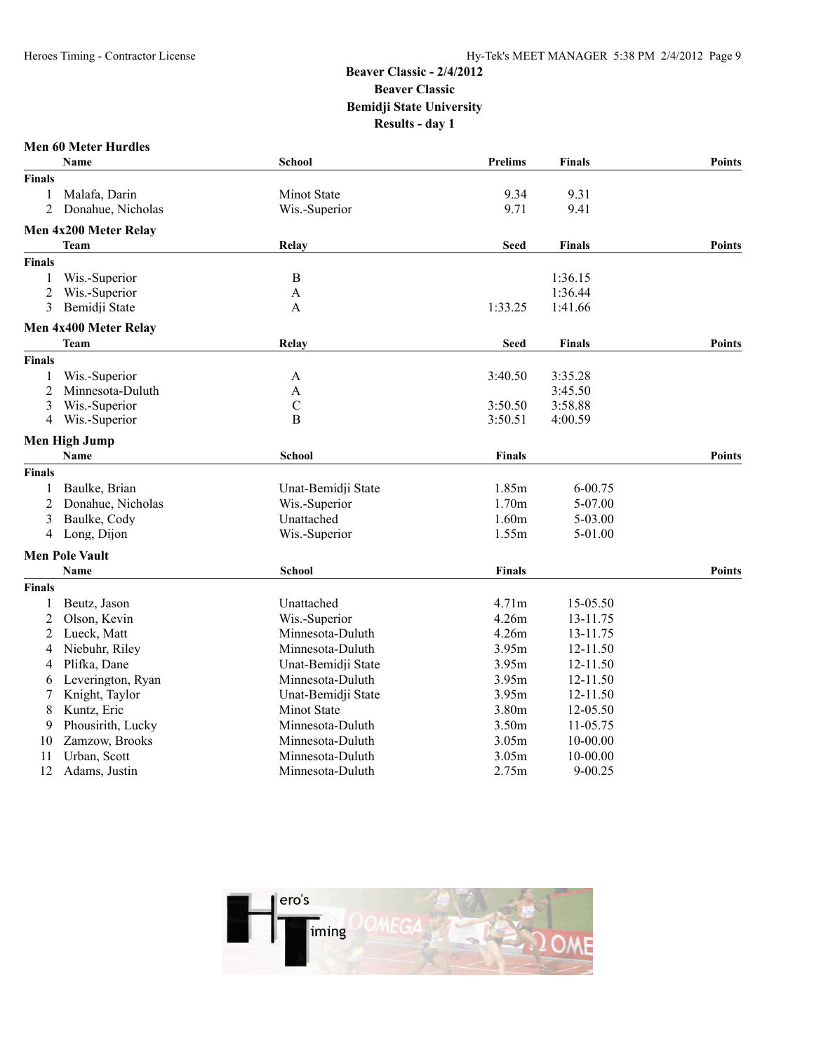#### **Men 60 Meter Hurdles**

|                | <b>Name</b>           | School             | <b>Prelims</b> | <b>Finals</b> | Points        |
|----------------|-----------------------|--------------------|----------------|---------------|---------------|
| <b>Finals</b>  |                       |                    |                |               |               |
| 1              | Malafa, Darin         | Minot State        | 9.34           | 9.31          |               |
| 2              | Donahue, Nicholas     | Wis.-Superior      | 9.71           | 9.41          |               |
|                | Men 4x200 Meter Relay |                    |                |               |               |
|                | <b>Team</b>           | Relay              | <b>Seed</b>    | <b>Finals</b> | <b>Points</b> |
| <b>Finals</b>  |                       |                    |                |               |               |
| 1              | Wis.-Superior         | $\bf{B}$           |                | 1:36.15       |               |
| 2              | Wis.-Superior         | A                  |                | 1:36.44       |               |
| 3              | Bemidji State         | A                  | 1:33.25        | 1:41.66       |               |
|                | Men 4x400 Meter Relay |                    |                |               |               |
|                | Team                  | Relay              | <b>Seed</b>    | <b>Finals</b> | <b>Points</b> |
| <b>Finals</b>  |                       |                    |                |               |               |
| $\mathbf{1}$   | Wis.-Superior         | A                  | 3:40.50        | 3:35.28       |               |
| $\overline{2}$ | Minnesota-Duluth      | A                  |                | 3:45.50       |               |
| 3              | Wis.-Superior         | $\mathcal{C}$      | 3:50.50        | 3:58.88       |               |
| 4              | Wis.-Superior         | $\mathbf B$        | 3:50.51        | 4:00.59       |               |
|                | <b>Men High Jump</b>  |                    |                |               |               |
|                | <b>Name</b>           | <b>School</b>      | <b>Finals</b>  |               | <b>Points</b> |
| <b>Finals</b>  |                       |                    |                |               |               |
| 1              | Baulke, Brian         | Unat-Bemidji State | 1.85m          | 6-00.75       |               |
| $\overline{2}$ | Donahue, Nicholas     | Wis.-Superior      | 1.70m          | 5-07.00       |               |
| 3              | Baulke, Cody          | Unattached         | 1.60m          | 5-03.00       |               |
| 4              | Long, Dijon           | Wis.-Superior      | 1.55m          | 5-01.00       |               |
|                | <b>Men Pole Vault</b> |                    |                |               |               |
|                | Name                  | <b>School</b>      | <b>Finals</b>  |               | <b>Points</b> |
| <b>Finals</b>  |                       |                    |                |               |               |
| 1              | Beutz, Jason          | Unattached         | 4.71m          | 15-05.50      |               |
| $\overline{2}$ | Olson, Kevin          | Wis.-Superior      | 4.26m          | 13-11.75      |               |
| $\overline{2}$ | Lueck, Matt           | Minnesota-Duluth   | 4.26m          | 13-11.75      |               |
| 4              | Niebuhr, Riley        | Minnesota-Duluth   | 3.95m          | 12-11.50      |               |
| 4              | Plifka, Dane          | Unat-Bemidji State | 3.95m          | 12-11.50      |               |
| 6              | Leverington, Ryan     | Minnesota-Duluth   | 3.95m          | 12-11.50      |               |
| 7              | Knight, Taylor        | Unat-Bemidji State | 3.95m          | 12-11.50      |               |
| 8              | Kuntz, Eric           | Minot State        | 3.80m          | 12-05.50      |               |
| 9              | Phousirith, Lucky     | Minnesota-Duluth   | 3.50m          | 11-05.75      |               |
| 10             | Zamzow, Brooks        | Minnesota-Duluth   | 3.05m          | 10-00.00      |               |
| 11             | Urban, Scott          | Minnesota-Duluth   | 3.05m          | 10-00.00      |               |
| 12             | Adams, Justin         | Minnesota-Duluth   | 2.75m          | $9 - 00.25$   |               |
|                |                       |                    |                |               |               |